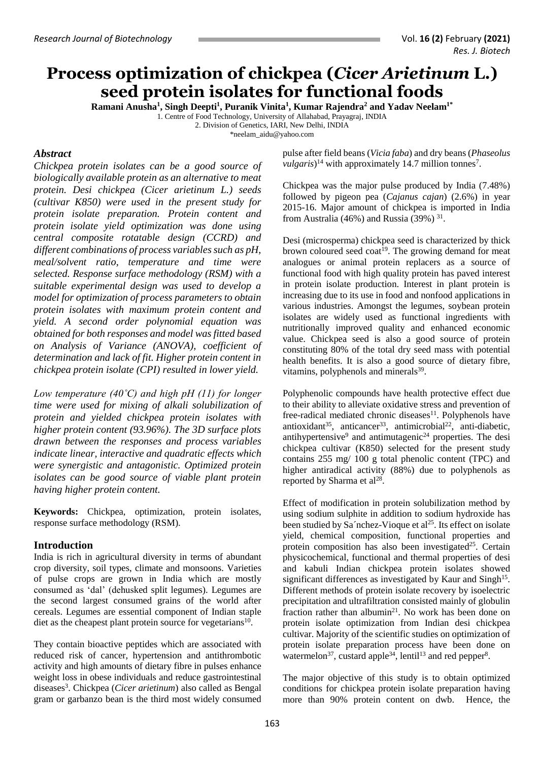# **Process optimization of chickpea (***Cicer Arietinum* **L.) seed protein isolates for functional foods**

**Ramani Anusha<sup>1</sup> , Singh Deepti<sup>1</sup> , Puranik Vinita<sup>1</sup> , Kumar Rajendra<sup>2</sup> and Yadav Neelam1\***

1. Centre of Food Technology, University of Allahabad, Prayagraj, INDIA

2. Division of Genetics, IARI, New Delhi, INDIA

\*neelam\_aidu@yahoo.com

## *Abstract*

*Chickpea protein isolates can be a good source of biologically available protein as an alternative to meat protein. Desi chickpea (Cicer arietinum L.) seeds (cultivar K850) were used in the present study for protein isolate preparation. Protein content and protein isolate yield optimization was done using central composite rotatable design (CCRD) and different combinations of process variables such as pH, meal/solvent ratio, temperature and time were selected. Response surface methodology (RSM) with a suitable experimental design was used to develop a model for optimization of process parameters to obtain protein isolates with maximum protein content and yield. A second order polynomial equation was obtained for both responses and model was fitted based on Analysis of Variance (ANOVA), coefficient of determination and lack of fit. Higher protein content in chickpea protein isolate (CPI) resulted in lower yield.* 

*Low temperature (40˚C) and high pH (11) for longer time were used for mixing of alkali solubilization of protein and yielded chickpea protein isolates with higher protein content (93.96%). The 3D surface plots drawn between the responses and process variables indicate linear, interactive and quadratic effects which were synergistic and antagonistic. Optimized protein isolates can be good source of viable plant protein having higher protein content.* 

**Keywords:** Chickpea, optimization, protein isolates, response surface methodology (RSM).

# **Introduction**

India is rich in agricultural diversity in terms of abundant crop diversity, soil types, climate and monsoons. Varieties of pulse crops are grown in India which are mostly consumed as 'dal' (dehusked split legumes). Legumes are the second largest consumed grains of the world after cereals. Legumes are essential component of Indian staple diet as the cheapest plant protein source for vegetarians $10$ .

They contain bioactive peptides which are associated with reduced risk of cancer, hypertension and antithrombotic activity and high amounts of dietary fibre in pulses enhance weight loss in obese individuals and reduce gastrointestinal diseases<sup>3</sup>. Chickpea (*Cicer arietinum*) also called as Bengal gram or garbanzo bean is the third most widely consumed

pulse after field beans (*Vicia faba*) and dry beans (*Phaseolus vulgaris*)<sup>14</sup> with approximately 14.7 million tonnes<sup>7</sup>.

Chickpea was the major pulse produced by India (7.48%) followed by pigeon pea (*Cajanus cajan*) (2.6%) in year 2015-16. Major amount of chickpea is imported in India from Australia (46%) and Russia (39%)  $31$ .

Desi (microsperma) chickpea seed is characterized by thick brown coloured seed coat<sup>19</sup>. The growing demand for meat analogues or animal protein replacers as a source of functional food with high quality protein has paved interest in protein isolate production. Interest in plant protein is increasing due to its use in food and nonfood applications in various industries. Amongst the legumes, soybean protein isolates are widely used as functional ingredients with nutritionally improved quality and enhanced economic value. Chickpea seed is also a good source of protein constituting 80% of the total dry seed mass with potential health benefits. It is also a good source of dietary fibre, vitamins, polyphenols and minerals<sup>39</sup>.

Polyphenolic compounds have health protective effect due to their ability to alleviate oxidative stress and prevention of free-radical mediated chronic diseases $11$ . Polyphenols have antioxidant<sup>35</sup>, anticancer<sup>33</sup>, antimicrobial<sup>22</sup>, anti-diabetic, antihypertensive<sup>9</sup> and antimutagenic<sup>24</sup> properties. The desi chickpea cultivar (K850) selected for the present study contains 255 mg/ 100 g total phenolic content (TPC) and higher antiradical activity (88%) due to polyphenols as reported by Sharma et al<sup>28</sup>.

Effect of modification in protein solubilization method by using sodium sulphite in addition to sodium hydroxide has been studied by Sa´nchez-Vioque et al<sup>25</sup>. Its effect on isolate yield, chemical composition, functional properties and protein composition has also been investigated<sup>25</sup>. Certain physicochemical, functional and thermal properties of desi and kabuli Indian chickpea protein isolates showed significant differences as investigated by Kaur and Singh<sup>15</sup>. Different methods of protein isolate recovery by isoelectric precipitation and ultrafiltration consisted mainly of globulin fraction rather than albumin<sup>21</sup>. No work has been done on protein isolate optimization from Indian desi chickpea cultivar. Majority of the scientific studies on optimization of protein isolate preparation process have been done on watermelon<sup>37</sup>, custard apple<sup>34</sup>, lentil<sup>13</sup> and red pepper<sup>8</sup>.

The major objective of this study is to obtain optimized conditions for chickpea protein isolate preparation having more than 90% protein content on dwb. Hence, the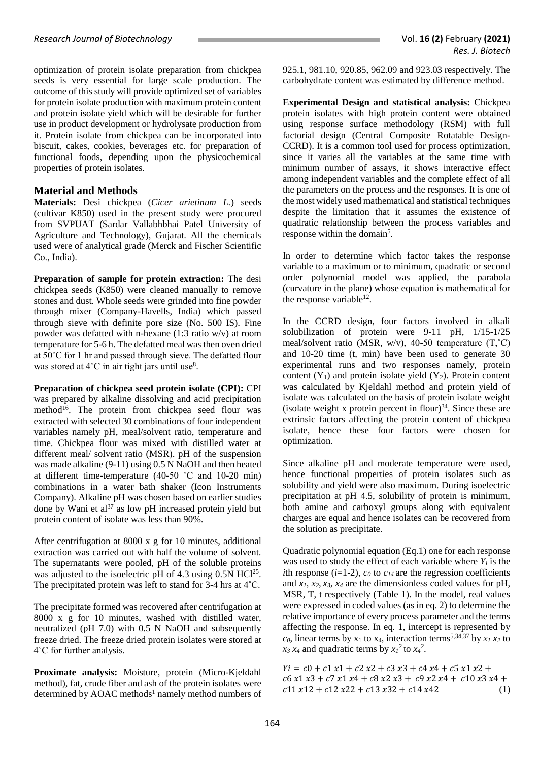optimization of protein isolate preparation from chickpea seeds is very essential for large scale production. The outcome of this study will provide optimized set of variables for protein isolate production with maximum protein content and protein isolate yield which will be desirable for further use in product development or hydrolysate production from it. Protein isolate from chickpea can be incorporated into biscuit, cakes, cookies, beverages etc. for preparation of functional foods, depending upon the physicochemical properties of protein isolates.

# **Material and Methods**

**Materials:** Desi chickpea (*Cicer arietinum L.*) seeds (cultivar K850) used in the present study were procured from SVPUAT (Sardar Vallabhbhai Patel University of Agriculture and Technology), Gujarat. All the chemicals used were of analytical grade (Merck and Fischer Scientific Co., India).

**Preparation of sample for protein extraction:** The desi chickpea seeds (K850) were cleaned manually to remove stones and dust. Whole seeds were grinded into fine powder through mixer (Company-Havells, India) which passed through sieve with definite pore size (No. 500 IS). Fine powder was defatted with n-hexane (1:3 ratio w/v) at room temperature for 5-6 h. The defatted meal was then oven dried at 50˚C for 1 hr and passed through sieve. The defatted flour was stored at  $4^{\circ}$ C in air tight jars until use<sup>8</sup>.

**Preparation of chickpea seed protein isolate (CPI):** CPI was prepared by alkaline dissolving and acid precipitation method<sup>16</sup>. The protein from chickpea seed flour was extracted with selected 30 combinations of four independent variables namely pH, meal/solvent ratio, temperature and time. Chickpea flour was mixed with distilled water at different meal/ solvent ratio (MSR). pH of the suspension was made alkaline (9-11) using 0.5 N NaOH and then heated at different time-temperature (40-50 ˚C and 10-20 min) combinations in a water bath shaker (Icon Instruments Company). Alkaline pH was chosen based on earlier studies done by Wani et al<sup>37</sup> as low pH increased protein yield but protein content of isolate was less than 90%.

After centrifugation at 8000 x g for 10 minutes, additional extraction was carried out with half the volume of solvent. The supernatants were pooled, pH of the soluble proteins was adjusted to the isoelectric pH of 4.3 using  $0.5N$  HCl<sup>25</sup>. The precipitated protein was left to stand for 3-4 hrs at 4˚C.

The precipitate formed was recovered after centrifugation at 8000 x g for 10 minutes, washed with distilled water, neutralized (pH 7.0) with 0.5 N NaOH and subsequently freeze dried. The freeze dried protein isolates were stored at 4˚C for further analysis.

**Proximate analysis:** Moisture, protein (Micro-Kjeldahl method), fat, crude fiber and ash of the protein isolates were determined by AOAC methods<sup>1</sup> namely method numbers of 925.1, 981.10, 920.85, 962.09 and 923.03 respectively. The carbohydrate content was estimated by difference method.

**Experimental Design and statistical analysis:** Chickpea protein isolates with high protein content were obtained using response surface methodology (RSM) with full factorial design (Central Composite Rotatable Design-CCRD). It is a common tool used for process optimization, since it varies all the variables at the same time with minimum number of assays, it shows interactive effect among independent variables and the complete effect of all the parameters on the process and the responses. It is one of the most widely used mathematical and statistical techniques despite the limitation that it assumes the existence of quadratic relationship between the process variables and response within the domain<sup>5</sup>.

In order to determine which factor takes the response variable to a maximum or to minimum, quadratic or second order polynomial model was applied, the parabola (curvature in the plane) whose equation is mathematical for the response variable $^{12}$ .

In the CCRD design, four factors involved in alkali solubilization of protein were 9-11 pH, 1/15-1/25 meal/solvent ratio (MSR,  $w/v$ ), 40-50 temperature (T, $°C$ ) and 10-20 time (t, min) have been used to generate 30 experimental runs and two responses namely, protein content  $(Y_1)$  and protein isolate yield  $(Y_2)$ . Protein content was calculated by Kjeldahl method and protein yield of isolate was calculated on the basis of protein isolate weight  $(isolate weight x protein percent in flour)<sup>34</sup>$ . Since these are extrinsic factors affecting the protein content of chickpea isolate, hence these four factors were chosen for optimization.

Since alkaline pH and moderate temperature were used, hence functional properties of protein isolates such as solubility and yield were also maximum. During isoelectric precipitation at pH 4.5, solubility of protein is minimum, both amine and carboxyl groups along with equivalent charges are equal and hence isolates can be recovered from the solution as precipitate.

Quadratic polynomial equation (Eq.1) one for each response was used to study the effect of each variable where  $Y_i$  is the *i*th response (*i*=1-2),  $c_0$  to  $c_1$ *4* are the regression coefficients and  $x_1$ ,  $x_2$ ,  $x_3$ ,  $x_4$  are the dimensionless coded values for pH, MSR, T, t respectively (Table 1). In the model, real values were expressed in coded values (as in eq. 2) to determine the relative importance of every process parameter and the terms affecting the response. In eq. 1, intercept is represented by  $c_0$ , linear terms by  $x_1$  to  $x_4$ , interaction terms<sup>5,34,37</sup> by  $x_1 x_2$  to  $x_3 x_4$  and quadratic terms by  $x_1^2$  to  $x_4^2$ .

 $Yi = c0 + c1 x1 + c2 x2 + c3 x3 + c4 x4 + c5 x1 x2 +$  $c6 x1 x3 + c7 x1 x4 + c8 x2 x3 + c9 x2 x4 + c10 x3 x4 +$  $c11 x12 + c12 x22 + c13 x32 + c14 x42$  (1)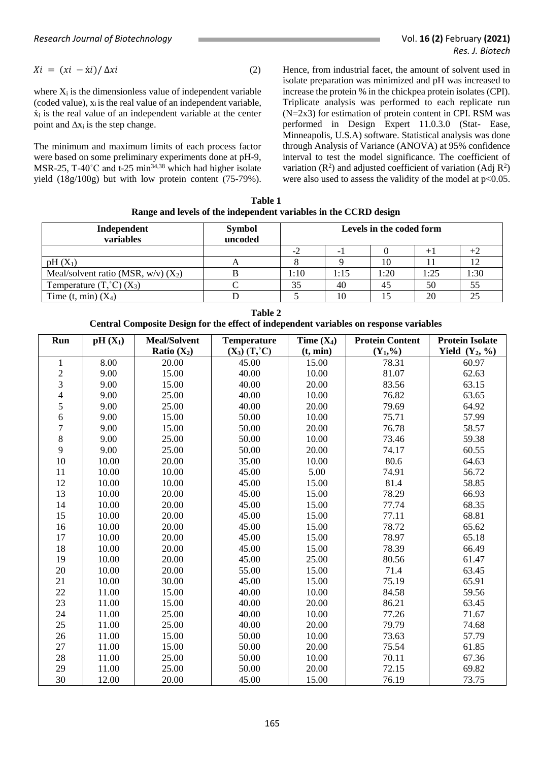$$
Xi = (xi - \dot{x}i) / \Delta x i \tag{2}
$$

where  $X_i$  is the dimensionless value of independent variable (coded value),  $x_i$  is the real value of an independent variable,  $\dot{x}_i$  is the real value of an independent variable at the center point and  $\Delta x_i$  is the step change.

The minimum and maximum limits of each process factor were based on some preliminary experiments done at pH-9, MSR-25, T-40 $^{\circ}$ C and t-25 min<sup>34,38</sup> which had higher isolate yield (18g/100g) but with low protein content (75-79%). Hence, from industrial facet, the amount of solvent used in isolate preparation was minimized and pH was increased to increase the protein % in the chickpea protein isolates (CPI). Triplicate analysis was performed to each replicate run (N=2x3) for estimation of protein content in CPI. RSM was performed in Design Expert 11.0.3.0 (Stat- Ease, Minneapolis, U.S.A) software. Statistical analysis was done through Analysis of Variance (ANOVA) at 95% confidence interval to test the model significance. The coefficient of variation  $(R^2)$  and adjusted coefficient of variation  $(Adj R^2)$ were also used to assess the validity of the model at  $p<0.05$ .

**Table 1 Range and levels of the independent variables in the CCRD design**

| Independent<br>variables                           | <b>Symbol</b><br>uncoded | Levels in the coded form |      |      |      |      |
|----------------------------------------------------|--------------------------|--------------------------|------|------|------|------|
|                                                    |                          |                          |      |      |      |      |
| $pH(X_1)$                                          |                          |                          |      |      |      |      |
| Meal/solvent ratio (MSR, $w/v$ ) (X <sub>2</sub> ) |                          | 1:10                     | 1:15 | 1:20 | 1:25 | 1:30 |
| Temperature $(T,^{\circ}C)$ $(X_3)$                |                          | 35                       | 40   |      | 50   | 55   |
| Time $(t, min)$ $(X4)$                             |                          |                          | 10   |      | 20   | 25   |

| Run                     | $pH(X_1)$ | <b>Meal/Solvent</b> | Temperature             | Time $(X_4)$ | <b>Protein Content</b> | <b>Protein Isolate</b>     |
|-------------------------|-----------|---------------------|-------------------------|--------------|------------------------|----------------------------|
|                         |           | Ratio $(X_2)$       | $(X_3)$ $(T,^{\circ}C)$ | (t, min)     | $(Y_1, \% )$           | Yield $(Y_2, \frac{9}{6})$ |
| 1                       | 8.00      | 20.00               | 45.00                   | 15.00        | 78.31                  | 60.97                      |
| $\overline{\mathbf{c}}$ | 9.00      | 15.00               | 40.00                   | 10.00        | 81.07                  | 62.63                      |
| 3                       | 9.00      | 15.00               | 40.00                   | 20.00        | 83.56                  | 63.15                      |
| 4                       | 9.00      | 25.00               | 40.00                   | 10.00        | 76.82                  | 63.65                      |
| 5                       | 9.00      | 25.00               | 40.00                   | 20.00        | 79.69                  | 64.92                      |
| 6                       | 9.00      | 15.00               | 50.00                   | 10.00        | 75.71                  | 57.99                      |
| $\overline{7}$          | 9.00      | 15.00               | 50.00                   | 20.00        | 76.78                  | 58.57                      |
| 8                       | 9.00      | 25.00               | 50.00                   | 10.00        | 73.46                  | 59.38                      |
| 9                       | 9.00      | 25.00               | 50.00                   | 20.00        | 74.17                  | 60.55                      |
| 10                      | 10.00     | 20.00               | 35.00                   | 10.00        | 80.6                   | 64.63                      |
| 11                      | 10.00     | 10.00               | 45.00                   | 5.00         | 74.91                  | 56.72                      |
| 12                      | 10.00     | 10.00               | 45.00                   | 15.00        | 81.4                   | 58.85                      |
| 13                      | 10.00     | 20.00               | 45.00                   | 15.00        | 78.29                  | 66.93                      |
| 14                      | 10.00     | 20.00               | 45.00                   | 15.00        | 77.74                  | 68.35                      |
| 15                      | 10.00     | 20.00               | 45.00                   | 15.00        | 77.11                  | 68.81                      |
| 16                      | 10.00     | 20.00               | 45.00                   | 15.00        | 78.72                  | 65.62                      |
| 17                      | 10.00     | 20.00               | 45.00                   | 15.00        | 78.97                  | 65.18                      |
| 18                      | 10.00     | 20.00               | 45.00                   | 15.00        | 78.39                  | 66.49                      |
| 19                      | 10.00     | 20.00               | 45.00                   | 25.00        | 80.56                  | 61.47                      |
| 20                      | 10.00     | 20.00               | 55.00                   | 15.00        | 71.4                   | 63.45                      |
| 21                      | 10.00     | 30.00               | 45.00                   | 15.00        | 75.19                  | 65.91                      |
| 22                      | 11.00     | 15.00               | 40.00                   | 10.00        | 84.58                  | 59.56                      |
| 23                      | 11.00     | 15.00               | 40.00                   | 20.00        | 86.21                  | 63.45                      |
| 24                      | 11.00     | 25.00               | 40.00                   | 10.00        | 77.26                  | 71.67                      |
| 25                      | 11.00     | 25.00               | 40.00                   | 20.00        | 79.79                  | 74.68                      |
| 26                      | 11.00     | 15.00               | 50.00                   | 10.00        | 73.63                  | 57.79                      |
| 27                      | 11.00     | 15.00               | 50.00                   | 20.00        | 75.54                  | 61.85                      |
| 28                      | 11.00     | 25.00               | 50.00                   | 10.00        | 70.11                  | 67.36                      |
| 29                      | 11.00     | 25.00               | 50.00                   | 20.00        | 72.15                  | 69.82                      |
| 30                      | 12.00     | 20.00               | 45.00                   | 15.00        | 76.19                  | 73.75                      |

| Table 2                                                                                |
|----------------------------------------------------------------------------------------|
| Central Composite Design for the effect of independent variables on response variables |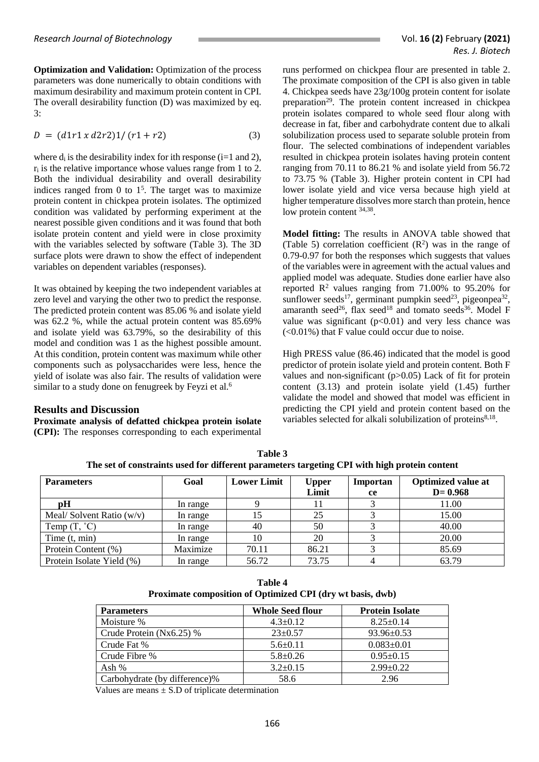**Optimization and Validation:** Optimization of the process parameters was done numerically to obtain conditions with maximum desirability and maximum protein content in CPI. The overall desirability function (D) was maximized by eq. 3:

$$
D = (d1r1 x d2r2)1/(r1 + r2)
$$
 (3)

where  $d_i$  is the desirability index for ith response (i=1 and 2),  $r_i$  is the relative importance whose values range from 1 to 2. Both the individual desirability and overall desirability indices ranged from  $0$  to  $1<sup>5</sup>$ . The target was to maximize protein content in chickpea protein isolates. The optimized condition was validated by performing experiment at the nearest possible given conditions and it was found that both isolate protein content and yield were in close proximity with the variables selected by software (Table 3). The 3D surface plots were drawn to show the effect of independent variables on dependent variables (responses).

It was obtained by keeping the two independent variables at zero level and varying the other two to predict the response. The predicted protein content was 85.06 % and isolate yield was 62.2 %, while the actual protein content was 85.69% and isolate yield was 63.79%, so the desirability of this model and condition was 1 as the highest possible amount. At this condition, protein content was maximum while other components such as polysaccharides were less, hence the yield of isolate was also fair. The results of validation were similar to a study done on fenugreek by Feyzi et al.<sup>6</sup>

#### **Results and Discussion**

**Proximate analysis of defatted chickpea protein isolate (CPI):** The responses corresponding to each experimental runs performed on chickpea flour are presented in table 2. The proximate composition of the CPI is also given in table 4. Chickpea seeds have 23g/100g protein content for isolate preparation<sup>29</sup>. The protein content increased in chickpea protein isolates compared to whole seed flour along with decrease in fat, fiber and carbohydrate content due to alkali solubilization process used to separate soluble protein from flour. The selected combinations of independent variables resulted in chickpea protein isolates having protein content ranging from 70.11 to 86.21 % and isolate yield from 56.72 to 73.75 % (Table 3). Higher protein content in CPI had lower isolate yield and vice versa because high yield at higher temperature dissolves more starch than protein, hence low protein content  $34,38$ .

**Model fitting:** The results in ANOVA table showed that (Table 5) correlation coefficient  $(R^2)$  was in the range of 0.79-0.97 for both the responses which suggests that values of the variables were in agreement with the actual values and applied model was adequate. Studies done earlier have also reported  $\mathbb{R}^2$  values ranging from 71.00% to 95.20% for sunflower seeds<sup>17</sup>, germinant pumpkin seed<sup>23</sup>, pigeonpea<sup>32</sup>, amaranth seed<sup>26</sup>, flax seed<sup>18</sup> and tomato seeds<sup>36</sup>. Model F value was significant  $(p<0.01)$  and very less chance was  $(<0.01\%)$  that F value could occur due to noise.

High PRESS value (86.46) indicated that the model is good predictor of protein isolate yield and protein content. Both F values and non-significant (p>0.05) Lack of fit for protein content (3.13) and protein isolate yield (1.45) further validate the model and showed that model was efficient in predicting the CPI yield and protein content based on the variables selected for alkali solubilization of proteins<sup>8,18</sup>.

| <b>Parameters</b>          | Goal     | <b>Lower Limit</b> | <b>Upper</b><br>Limit | Importan<br><b>ce</b> | <b>Optimized value at</b><br>$D = 0.968$ |
|----------------------------|----------|--------------------|-----------------------|-----------------------|------------------------------------------|
| pH                         | In range |                    |                       |                       | 11.00                                    |
| Meal/Solvent Ratio $(w/v)$ | In range | 15                 | 25                    |                       | 15.00                                    |
| Temp $(T, \degree C)$      | In range | 40                 | 50                    |                       | 40.00                                    |
| Time $(t, min)$            | In range | 10                 | 20                    |                       | 20.00                                    |
| Protein Content (%)        | Maximize | 70.11              | 86.21                 |                       | 85.69                                    |
| Protein Isolate Yield (%)  | In range | 56.72              | 73.75                 |                       | 63.79                                    |

**Table 3 The set of constraints used for different parameters targeting CPI with high protein content**

| Table 4                                                    |  |
|------------------------------------------------------------|--|
| Proximate composition of Optimized CPI (dry wt basis, dwb) |  |

| <b>Parameters</b>             | <b>Whole Seed flour</b> | <b>Protein Isolate</b> |
|-------------------------------|-------------------------|------------------------|
| Moisture %                    | $4.3 \pm 0.12$          | $8.25 \pm 0.14$        |
| Crude Protein $(Nx6.25)$ %    | $23 \pm 0.57$           | $93.96 \pm 0.53$       |
| Crude Fat %                   | $5.6 \pm 0.11$          | $0.083 \pm 0.01$       |
| Crude Fibre %                 | $5.8 \pm 0.26$          | $0.95 \pm 0.15$        |
| Ash %                         | $3.2 \pm 0.15$          | $2.99 \pm 0.22$        |
| Carbohydrate (by difference)% | 58.6                    | 2.96                   |

Values are means  $\pm$  S.D of triplicate determination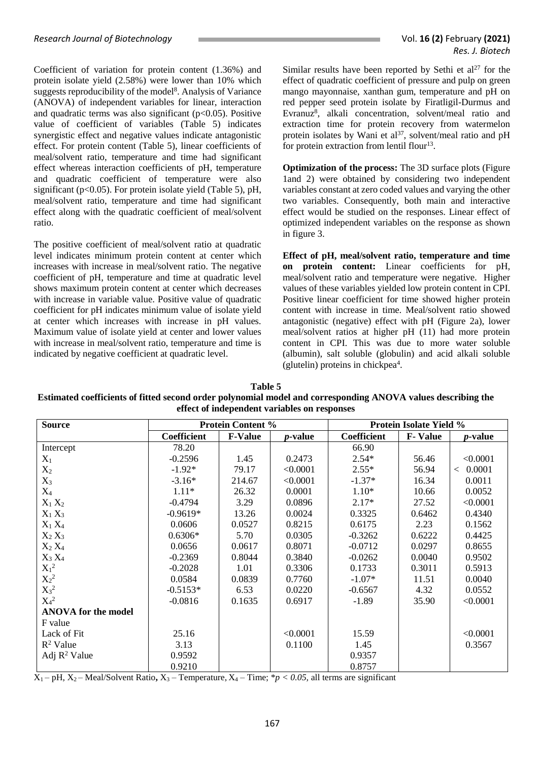Coefficient of variation for protein content (1.36%) and protein isolate yield (2.58%) were lower than 10% which suggests reproducibility of the model<sup>8</sup>. Analysis of Variance (ANOVA) of independent variables for linear, interaction and quadratic terms was also significant ( $p<0.05$ ). Positive value of coefficient of variables (Table 5) indicates synergistic effect and negative values indicate antagonistic effect. For protein content (Table 5), linear coefficients of meal/solvent ratio, temperature and time had significant effect whereas interaction coefficients of pH, temperature and quadratic coefficient of temperature were also significant ( $p<0.05$ ). For protein isolate yield (Table 5),  $pH$ , meal/solvent ratio, temperature and time had significant effect along with the quadratic coefficient of meal/solvent ratio.

The positive coefficient of meal/solvent ratio at quadratic level indicates minimum protein content at center which increases with increase in meal/solvent ratio. The negative coefficient of pH, temperature and time at quadratic level shows maximum protein content at center which decreases with increase in variable value. Positive value of quadratic coefficient for pH indicates minimum value of isolate yield at center which increases with increase in pH values. Maximum value of isolate yield at center and lower values with increase in meal/solvent ratio, temperature and time is indicated by negative coefficient at quadratic level.

Similar results have been reported by Sethi et  $al^{27}$  for the effect of quadratic coefficient of pressure and pulp on green mango mayonnaise, xanthan gum, temperature and pH on red pepper seed protein isolate by Firatligil-Durmus and Evranuz<sup>8</sup>, alkali concentration, solvent/meal ratio and extraction time for protein recovery from watermelon protein isolates by Wani et  $al^{37}$ , solvent/meal ratio and pH for protein extraction from lentil flour $13$ .

**Optimization of the process:** The 3D surface plots (Figure) 1and 2) were obtained by considering two independent variables constant at zero coded values and varying the other two variables. Consequently, both main and interactive effect would be studied on the responses. Linear effect of optimized independent variables on the response as shown in figure 3.

**Effect of pH, meal/solvent ratio, temperature and time on protein content:** Linear coefficients for pH, meal/solvent ratio and temperature were negative. Higher values of these variables yielded low protein content in CPI. Positive linear coefficient for time showed higher protein content with increase in time. Meal/solvent ratio showed antagonistic (negative) effect with pH (Figure 2a), lower meal/solvent ratios at higher pH (11) had more protein content in CPI. This was due to more water soluble (albumin), salt soluble (globulin) and acid alkali soluble (glutelin) proteins in chickpea<sup>4</sup>.

| Table 5                                                                                                      |
|--------------------------------------------------------------------------------------------------------------|
| Estimated coefficients of fitted second order polynomial model and corresponding ANOVA values describing the |
| effect of independent variables on responses                                                                 |

| <b>Source</b>              | <b>Protein Content %</b> |                | <b>Protein Isolate Yield %</b> |             |                |                 |
|----------------------------|--------------------------|----------------|--------------------------------|-------------|----------------|-----------------|
|                            | Coefficient              | <b>F-Value</b> | <i>p</i> -value                | Coefficient | <b>F-Value</b> | <i>p</i> -value |
| Intercept                  | 78.20                    |                |                                | 66.90       |                |                 |
| $X_1$                      | $-0.2596$                | 1.45           | 0.2473                         | $2.54*$     | 56.46          | < 0.0001        |
| $X_2$                      | $-1.92*$                 | 79.17          | < 0.0001                       | $2.55*$     | 56.94          | < 0.0001        |
| $X_3$                      | $-3.16*$                 | 214.67         | < 0.0001                       | $-1.37*$    | 16.34          | 0.0011          |
| $X_4$                      | $1.11*$                  | 26.32          | 0.0001                         | $1.10*$     | 10.66          | 0.0052          |
| $X_1 X_2$                  | $-0.4794$                | 3.29           | 0.0896                         | $2.17*$     | 27.52          | < 0.0001        |
| $X_1 X_3$                  | $-0.9619*$               | 13.26          | 0.0024                         | 0.3325      | 0.6462         | 0.4340          |
| $X_1 X_4$                  | 0.0606                   | 0.0527         | 0.8215                         | 0.6175      | 2.23           | 0.1562          |
| $X_2 X_3$                  | $0.6306*$                | 5.70           | 0.0305                         | $-0.3262$   | 0.6222         | 0.4425          |
| $X_2 X_4$                  | 0.0656                   | 0.0617         | 0.8071                         | $-0.0712$   | 0.0297         | 0.8655          |
| $X_3 X_4$                  | $-0.2369$                | 0.8044         | 0.3840                         | $-0.0262$   | 0.0040         | 0.9502          |
| $X_1^2$                    | $-0.2028$                | 1.01           | 0.3306                         | 0.1733      | 0.3011         | 0.5913          |
| $X_2^2$                    | 0.0584                   | 0.0839         | 0.7760                         | $-1.07*$    | 11.51          | 0.0040          |
| $X_3^2$                    | $-0.5153*$               | 6.53           | 0.0220                         | $-0.6567$   | 4.32           | 0.0552          |
| $X_4{}^2$                  | $-0.0816$                | 0.1635         | 0.6917                         | $-1.89$     | 35.90          | < 0.0001        |
| <b>ANOVA</b> for the model |                          |                |                                |             |                |                 |
| F value                    |                          |                |                                |             |                |                 |
| Lack of Fit                | 25.16                    |                | < 0.0001                       | 15.59       |                | < 0.0001        |
| $R^2$ Value                | 3.13                     |                | 0.1100                         | 1.45        |                | 0.3567          |
| Adj $R^2$ Value            | 0.9592                   |                |                                | 0.9357      |                |                 |
|                            | 0.9210                   |                |                                | 0.8757      |                |                 |

 $X_1$  – pH,  $X_2$  – Meal/Solvent Ratio,  $X_3$  – Temperature,  $X_4$  – Time;  $*p < 0.05$ , all terms are significant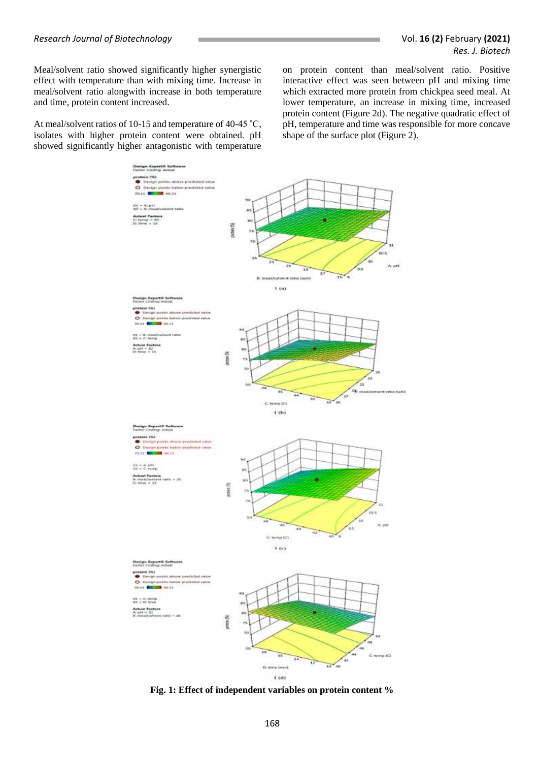Meal/solvent ratio showed significantly higher synergistic effect with temperature than with mixing time. Increase in meal/solvent ratio alongwith increase in both temperature and time, protein content increased.

At meal/solvent ratios of 10-15 and temperature of 40-45 ˚C, isolates with higher protein content were obtained. pH showed significantly higher antagonistic with temperature on protein content than meal/solvent ratio. Positive interactive effect was seen between pH and mixing time which extracted more protein from chickpea seed meal. At lower temperature, an increase in mixing time, increased protein content (Figure 2d). The negative quadratic effect of pH, temperature and time was responsible for more concave shape of the surface plot (Figure 2).



**Fig. 1: Effect of independent variables on protein content %**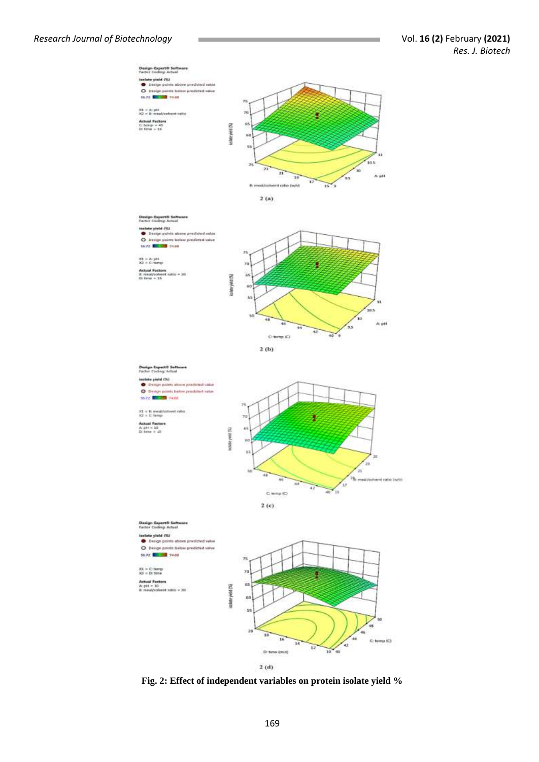

 $2(d)$ 

**Fig. 2: Effect of independent variables on protein isolate yield %**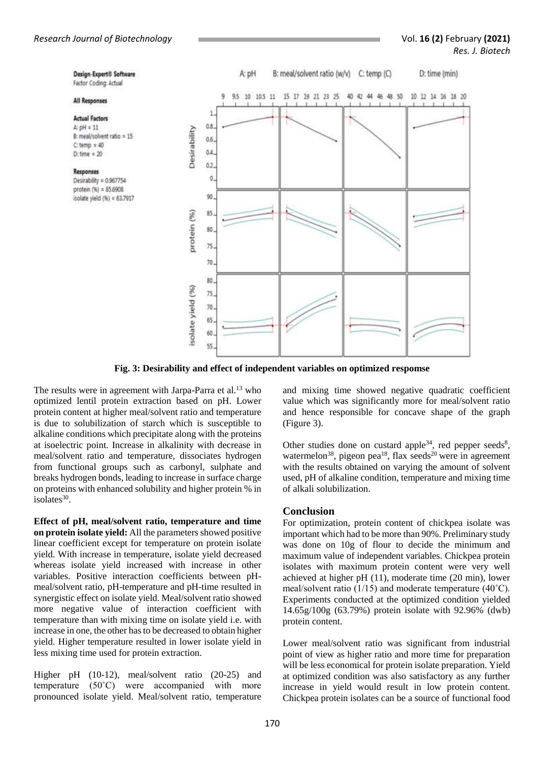Design-Expert<sup>®</sup> Software

B: meal/solvent ratio = 15

Desirability = 0.967754 protein (%) = 85.6908

isolate yield (%) = 63.7917

Factor Coding: Actual

**All Responses Actual Factors** 

A:  $pH = 11$ 

 $C$ : temp = 40

 $D:time = 20$ 

Responses



**Fig. 3: Desirability and effect of independent variables on optimized respomse**

The results were in agreement with Jarpa-Parra et al.<sup>13</sup> who optimized lentil protein extraction based on pH. Lower protein content at higher meal/solvent ratio and temperature is due to solubilization of starch which is susceptible to alkaline conditions which precipitate along with the proteins at isoelectric point. Increase in alkalinity with decrease in meal/solvent ratio and temperature, dissociates hydrogen from functional groups such as carbonyl, sulphate and breaks hydrogen bonds, leading to increase in surface charge on proteins with enhanced solubility and higher protein % in isolates $30$ .

**Effect of pH, meal/solvent ratio, temperature and time on protein isolate yield:** All the parameters showed positive linear coefficient except for temperature on protein isolate yield. With increase in temperature, isolate yield decreased whereas isolate yield increased with increase in other variables. Positive interaction coefficients between pHmeal/solvent ratio, pH-temperature and pH-time resulted in synergistic effect on isolate yield. Meal/solvent ratio showed more negative value of interaction coefficient with temperature than with mixing time on isolate yield i.e. with increase in one, the other has to be decreased to obtain higher yield. Higher temperature resulted in lower isolate yield in less mixing time used for protein extraction.

Higher pH (10-12), meal/solvent ratio (20-25) and temperature (50˚C) were accompanied with more pronounced isolate yield. Meal/solvent ratio, temperature

and mixing time showed negative quadratic coefficient value which was significantly more for meal/solvent ratio and hence responsible for concave shape of the graph (Figure 3).

Other studies done on custard apple<sup>34</sup>, red pepper seeds<sup>8</sup>, watermelon<sup>38</sup>, pigeon pea<sup>18</sup>, flax seeds<sup>20</sup> were in agreement with the results obtained on varying the amount of solvent used, pH of alkaline condition, temperature and mixing time of alkali solubilization.

## **Conclusion**

For optimization, protein content of chickpea isolate was important which had to be more than 90%. Preliminary study was done on 10g of flour to decide the minimum and maximum value of independent variables. Chickpea protein isolates with maximum protein content were very well achieved at higher pH (11), moderate time (20 min), lower meal/solvent ratio (1/15) and moderate temperature (40˚C). Experiments conducted at the optimized condition yielded 14.65g/100g (63.79%) protein isolate with 92.96% (dwb) protein content.

Lower meal/solvent ratio was significant from industrial point of view as higher ratio and more time for preparation will be less economical for protein isolate preparation. Yield at optimized condition was also satisfactory as any further increase in yield would result in low protein content. Chickpea protein isolates can be a source of functional food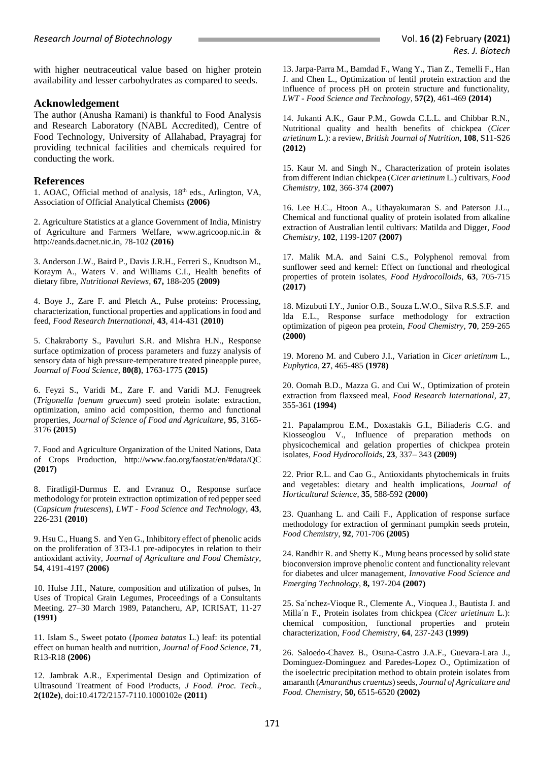with higher neutraceutical value based on higher protein availability and lesser carbohydrates as compared to seeds.

## **Acknowledgement**

The author (Anusha Ramani) is thankful to Food Analysis and Research Laboratory (NABL Accredited), Centre of Food Technology, University of Allahabad, Prayagraj for providing technical facilities and chemicals required for conducting the work.

## **References**

1. AOAC, Official method of analysis, 18th eds., Arlington, VA, Association of Official Analytical Chemists **(2006)**

2. Agriculture Statistics at a glance Government of India, Ministry of Agriculture and Farmers Welfare, www.agricoop.nic.in & http://eands.dacnet.nic.in, 78-102 **(2016)**

3. Anderson J.W., Baird P., Davis J.R.H., Ferreri S., Knudtson M., Koraym A., Waters V. and Williams C.I., Health benefits of dietary fibre, *Nutritional Reviews*, **67,** 188-205 **(2009)**

4. Boye J., Zare F. and Pletch A., Pulse proteins: Processing, characterization, functional properties and applications in food and feed, *Food Research International*, **43**, 414-431 **(2010)**

5. Chakraborty S., Pavuluri S.R. and Mishra H.N., Response surface optimization of process parameters and fuzzy analysis of sensory data of high pressure-temperature treated pineapple puree, *Journal of Food Science*, **80(8)**, 1763-1775 **(2015)**

6. Feyzi S., Varidi M., Zare F. and Varidi M.J. Fenugreek (*Trigonella foenum graecum*) seed protein isolate: extraction, optimization, amino acid composition, thermo and functional properties, *Journal of Science of Food and Agriculture*, **95**, 3165- 3176 **(2015)**

7. Food and Agriculture Organization of the United Nations, Data of Crops Production, <http://www.fao.org/faostat/en/#data/QC> **(2017)**

8. Firatligil-Durmus E. and Evranuz O., Response surface methodology for protein extraction optimization of red pepper seed (*Capsicum frutescens*), *LWT - Food Science and Technology*, **43**, 226-231 **(2010)**

9. Hsu C., Huang S. and Yen G., Inhibitory effect of phenolic acids on the proliferation of 3T3-L1 pre-adipocytes in relation to their antioxidant activity, *Journal of Agriculture and Food Chemistry*, **54**, 4191-4197 **(2006)** 

10. Hulse J.H., Nature, composition and utilization of pulses, In Uses of Tropical Grain Legumes, Proceedings of a Consultants Meeting. 27–30 March 1989, Patancheru, AP, ICRISAT, 11-27 **(1991)**

11. Islam S., Sweet potato (*Ipomea batatas* L.) leaf: its potential effect on human health and nutrition, *Journal of Food Science*, **71**, R13-R18 **(2006)**

12. Jambrak A.R., Experimental Design and Optimization of Ultrasound Treatment of Food Products, *J Food. Proc. Tech*., **2(102e)**, doi:10.4172/2157-7110.1000102e **(2011)**

13. Jarpa-Parra M., Bamdad F., Wang Y., Tian Z., Temelli F., Han J. and Chen L., Optimization of lentil protein extraction and the influence of process pH on protein structure and functionality, *LWT - Food Science and Technology*, **57(2)**, 461-469 **(2014)**

14. Jukanti A.K., Gaur P.M., Gowda C.L.L. and Chibbar R.N., Nutritional quality and health benefits of chickpea (*Cicer arietinum* L.): a review, *British Journal of Nutrition*, **108**, S11-S26 **(2012)** 

15. Kaur M. and Singh N., Characterization of protein isolates from different Indian chickpea (*Cicer arietinum* L.) cultivars, *Food Chemistry*, **102**, 366-374 **(2007)**

16. Lee H.C., Htoon A., Uthayakumaran S. and Paterson J.L., Chemical and functional quality of protein isolated from alkaline extraction of Australian lentil cultivars: Matilda and Digger, *Food Chemistry*, **102**, 1199-1207 **(2007)**

17. Malik M.A. and Saini C.S., Polyphenol removal from sunflower seed and kernel: Effect on functional and rheological properties of protein isolates, *Food Hydrocolloids*, **63**, 705-715 **(2017)**

18. Mizubuti I.Y., Junior O.B., Souza L.W.O., Silva R.S.S.F. and Ida E.L., Response surface methodology for extraction optimization of pigeon pea protein, *Food Chemistry*, **70**, 259-265 **(2000)**

19. Moreno M. and Cubero J.I., Variation in *Cicer arietinum* L., *Euphytica*, **27**, 465-485 **(1978)**

20. Oomah B.D., Mazza G. and Cui W., Optimization of protein extraction from flaxseed meal, *Food Research International*, **27**, 355-361 **(1994)**

21. Papalamprou E.M., Doxastakis G.I., Biliaderis C.G. and Kiosseoglou V., Influence of preparation methods on physicochemical and gelation properties of chickpea protein isolates, *Food Hydrocolloids*, **23**, 337– 343 **(2009)**

22. Prior R.L. and Cao G., Antioxidants phytochemicals in fruits and vegetables: dietary and health implications, *Journal of Horticultural Science*, **35**, 588-592 **(2000)**

23. Quanhang L. and Caili F., Application of response surface methodology for extraction of germinant pumpkin seeds protein, *Food Chemistry*, **92**, 701-706 **(2005)**

24. Randhir R. and Shetty K., Mung beans processed by solid state bioconversion improve phenolic content and functionality relevant for diabetes and ulcer management, *Innovative Food Science and Emerging Technology*, **8,** 197-204 **(2007)**

25. Sa´nchez-Vioque R., Clemente A., Vioquea J., Bautista J. and Milla´n F., Protein isolates from chickpea (*Cicer arietinum* L.): chemical composition, functional properties and protein characterization, *Food Chemistry*, **64**, 237-243 **(1999)**

26. Saloedo-Chavez B., Osuna-Castro J.A.F., Guevara-Lara J., Dominguez-Dominguez and Paredes-Lopez O., Optimization of the isoelectric precipitation method to obtain protein isolates from amaranth (*Amaranthus cruentus*) seeds, *Journal of Agriculture and Food. Chemistry*, **50,** 6515-6520 **(2002)**